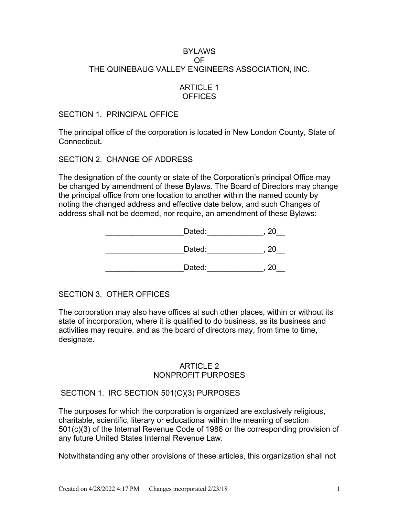# BYLAWS OF THE QUINEBAUG VALLEY ENGINEERS ASSOCIATION, INC.

# ARTICLE 1 **OFFICES**

#### SECTION 1. PRINCIPAL OFFICE

The principal office of the corporation is located in New London County, State of Connecticut**.**

# SECTION 2. CHANGE OF ADDRESS

The designation of the county or state of the Corporation's principal Office may be changed by amendment of these Bylaws. The Board of Directors may change the principal office from one location to another within the named county by noting the changed address and effective date below, and such Changes of address shall not be deemed, nor require, an amendment of these Bylaws:

| Dated: |  |
|--------|--|
| Dated: |  |
| Dated: |  |

# SECTION 3. OTHER OFFICES

The corporation may also have offices at such other places, within or without its state of incorporation, where it is qualified to do business, as its business and activities may require, and as the board of directors may, from time to time, designate.

#### ARTICLE 2 NONPROFIT PURPOSES

# SECTION 1. IRC SECTION 501(C)(3) PURPOSES

The purposes for which the corporation is organized are exclusively religious, charitable, scientific, literary or educational within the meaning of section 501(c)(3) of the Internal Revenue Code of 1986 or the corresponding provision of any future United States Internal Revenue Law.

Notwithstanding any other provisions of these articles, this organization shall not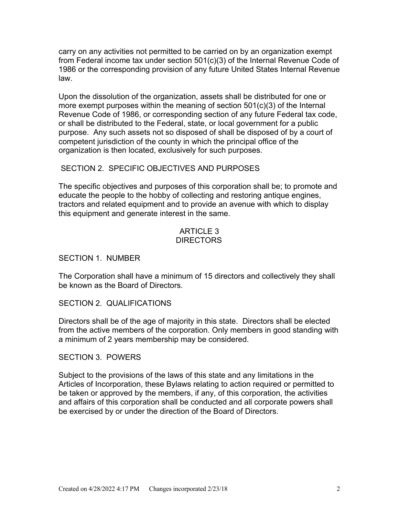carry on any activities not permitted to be carried on by an organization exempt from Federal income tax under section 501(c)(3) of the Internal Revenue Code of 1986 or the corresponding provision of any future United States Internal Revenue law.

Upon the dissolution of the organization, assets shall be distributed for one or more exempt purposes within the meaning of section 501(c)(3) of the Internal Revenue Code of 1986, or corresponding section of any future Federal tax code, or shall be distributed to the Federal, state, or local government for a public purpose. Any such assets not so disposed of shall be disposed of by a court of competent jurisdiction of the county in which the principal office of the organization is then located, exclusively for such purposes.

# SECTION 2. SPECIFIC OBJECTIVES AND PURPOSES

The specific objectives and purposes of this corporation shall be; to promote and educate the people to the hobby of collecting and restoring antique engines, tractors and related equipment and to provide an avenue with which to display this equipment and generate interest in the same.

#### ARTICLE 3 **DIRECTORS**

SECTION 1. NUMBER

The Corporation shall have a minimum of 15 directors and collectively they shall be known as the Board of Directors.

SECTION 2. QUALIFICATIONS

Directors shall be of the age of majority in this state. Directors shall be elected from the active members of the corporation. Only members in good standing with a minimum of 2 years membership may be considered.

SECTION 3. POWERS

Subject to the provisions of the laws of this state and any limitations in the Articles of Incorporation, these Bylaws relating to action required or permitted to be taken or approved by the members, if any, of this corporation, the activities and affairs of this corporation shall be conducted and all corporate powers shall be exercised by or under the direction of the Board of Directors.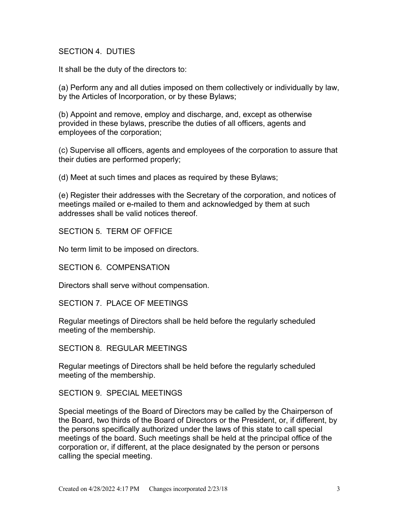### SECTION 4. DUTIES

It shall be the duty of the directors to:

(a) Perform any and all duties imposed on them collectively or individually by law, by the Articles of Incorporation, or by these Bylaws;

(b) Appoint and remove, employ and discharge, and, except as otherwise provided in these bylaws, prescribe the duties of all officers, agents and employees of the corporation;

(c) Supervise all officers, agents and employees of the corporation to assure that their duties are performed properly;

(d) Meet at such times and places as required by these Bylaws;

(e) Register their addresses with the Secretary of the corporation, and notices of meetings mailed or e-mailed to them and acknowledged by them at such addresses shall be valid notices thereof.

SECTION 5. TERM OF OFFICE

No term limit to be imposed on directors.

SECTION 6. COMPENSATION

Directors shall serve without compensation.

SECTION 7. PLACE OF MEETINGS

Regular meetings of Directors shall be held before the regularly scheduled meeting of the membership.

SECTION 8. REGULAR MEETINGS

Regular meetings of Directors shall be held before the regularly scheduled meeting of the membership.

SECTION 9. SPECIAL MEETINGS

Special meetings of the Board of Directors may be called by the Chairperson of the Board, two thirds of the Board of Directors or the President, or, if different, by the persons specifically authorized under the laws of this state to call special meetings of the board. Such meetings shall be held at the principal office of the corporation or, if different, at the place designated by the person or persons calling the special meeting.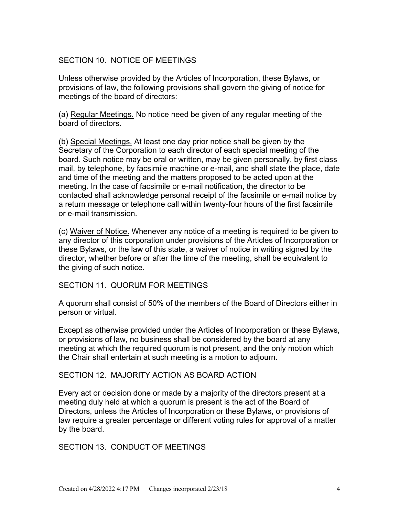# SECTION 10. NOTICE OF MEETINGS

Unless otherwise provided by the Articles of Incorporation, these Bylaws, or provisions of law, the following provisions shall govern the giving of notice for meetings of the board of directors:

(a) Regular Meetings. No notice need be given of any regular meeting of the board of directors.

(b) Special Meetings. At least one day prior notice shall be given by the Secretary of the Corporation to each director of each special meeting of the board. Such notice may be oral or written, may be given personally, by first class mail, by telephone, by facsimile machine or e-mail, and shall state the place, date and time of the meeting and the matters proposed to be acted upon at the meeting. In the case of facsimile or e-mail notification, the director to be contacted shall acknowledge personal receipt of the facsimile or e-mail notice by a return message or telephone call within twenty-four hours of the first facsimile or e-mail transmission.

(c) Waiver of Notice. Whenever any notice of a meeting is required to be given to any director of this corporation under provisions of the Articles of Incorporation or these Bylaws, or the law of this state, a waiver of notice in writing signed by the director, whether before or after the time of the meeting, shall be equivalent to the giving of such notice.

SECTION 11. QUORUM FOR MEETINGS

A quorum shall consist of 50% of the members of the Board of Directors either in person or virtual.

Except as otherwise provided under the Articles of Incorporation or these Bylaws, or provisions of law, no business shall be considered by the board at any meeting at which the required quorum is not present, and the only motion which the Chair shall entertain at such meeting is a motion to adjourn.

#### SECTION 12. MAJORITY ACTION AS BOARD ACTION

Every act or decision done or made by a majority of the directors present at a meeting duly held at which a quorum is present is the act of the Board of Directors, unless the Articles of Incorporation or these Bylaws, or provisions of law require a greater percentage or different voting rules for approval of a matter by the board.

SECTION 13. CONDUCT OF MEETINGS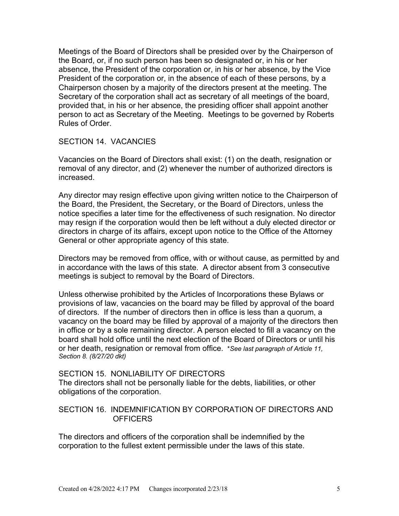Meetings of the Board of Directors shall be presided over by the Chairperson of the Board, or, if no such person has been so designated or, in his or her absence, the President of the corporation or, in his or her absence, by the Vice President of the corporation or, in the absence of each of these persons, by a Chairperson chosen by a majority of the directors present at the meeting. The Secretary of the corporation shall act as secretary of all meetings of the board, provided that, in his or her absence, the presiding officer shall appoint another person to act as Secretary of the Meeting. Meetings to be governed by Roberts Rules of Order.

#### SECTION 14. VACANCIES

Vacancies on the Board of Directors shall exist: (1) on the death, resignation or removal of any director, and (2) whenever the number of authorized directors is increased.

Any director may resign effective upon giving written notice to the Chairperson of the Board, the President, the Secretary, or the Board of Directors, unless the notice specifies a later time for the effectiveness of such resignation. No director may resign if the corporation would then be left without a duly elected director or directors in charge of its affairs, except upon notice to the Office of the Attorney General or other appropriate agency of this state.

Directors may be removed from office, with or without cause, as permitted by and in accordance with the laws of this state. A director absent from 3 consecutive meetings is subject to removal by the Board of Directors.

Unless otherwise prohibited by the Articles of Incorporations these Bylaws or provisions of law, vacancies on the board may be filled by approval of the board of directors. If the number of directors then in office is less than a quorum, a vacancy on the board may be filled by approval of a majority of the directors then in office or by a sole remaining director. A person elected to fill a vacancy on the board shall hold office until the next election of the Board of Directors or until his or her death, resignation or removal from office. \**See last paragraph of Article 11, Section 8. (8/27/20 dkt)*

#### SECTION 15. NONLIABILITY OF DIRECTORS

The directors shall not be personally liable for the debts, liabilities, or other obligations of the corporation.

#### SECTION 16. INDEMNIFICATION BY CORPORATION OF DIRECTORS AND **OFFICERS**

The directors and officers of the corporation shall be indemnified by the corporation to the fullest extent permissible under the laws of this state.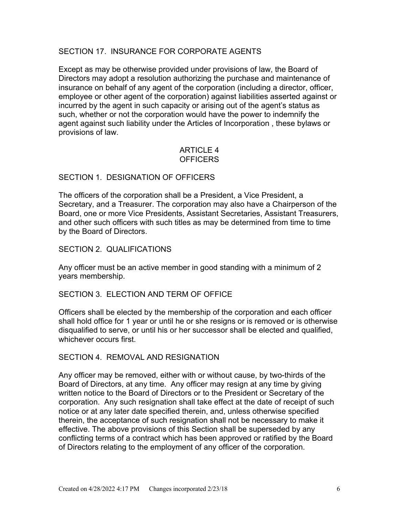# SECTION 17. INSURANCE FOR CORPORATE AGENTS

Except as may be otherwise provided under provisions of law, the Board of Directors may adopt a resolution authorizing the purchase and maintenance of insurance on behalf of any agent of the corporation (including a director, officer, employee or other agent of the corporation) against liabilities asserted against or incurred by the agent in such capacity or arising out of the agent's status as such, whether or not the corporation would have the power to indemnify the agent against such liability under the Articles of Incorporation , these bylaws or provisions of law.

# ARTICLE 4 **OFFICERS**

#### SECTION 1. DESIGNATION OF OFFICERS

The officers of the corporation shall be a President, a Vice President, a Secretary, and a Treasurer. The corporation may also have a Chairperson of the Board, one or more Vice Presidents, Assistant Secretaries, Assistant Treasurers, and other such officers with such titles as may be determined from time to time by the Board of Directors.

#### SECTION 2. QUALIFICATIONS

Any officer must be an active member in good standing with a minimum of 2 years membership.

#### SECTION 3. ELECTION AND TERM OF OFFICE

Officers shall be elected by the membership of the corporation and each officer shall hold office for 1 year or until he or she resigns or is removed or is otherwise disqualified to serve, or until his or her successor shall be elected and qualified, whichever occurs first.

#### SECTION 4. REMOVAL AND RESIGNATION

Any officer may be removed, either with or without cause, by two-thirds of the Board of Directors, at any time. Any officer may resign at any time by giving written notice to the Board of Directors or to the President or Secretary of the corporation. Any such resignation shall take effect at the date of receipt of such notice or at any later date specified therein, and, unless otherwise specified therein, the acceptance of such resignation shall not be necessary to make it effective. The above provisions of this Section shall be superseded by any conflicting terms of a contract which has been approved or ratified by the Board of Directors relating to the employment of any officer of the corporation.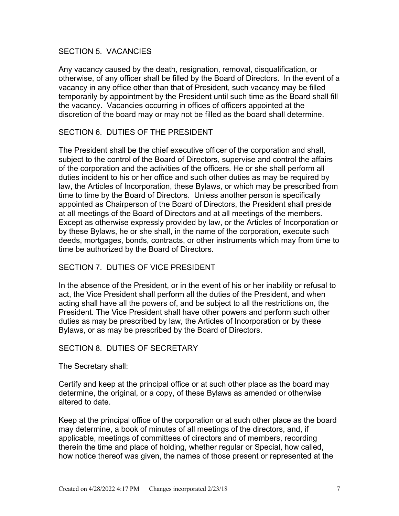#### SECTION 5. VACANCIES

Any vacancy caused by the death, resignation, removal, disqualification, or otherwise, of any officer shall be filled by the Board of Directors. In the event of a vacancy in any office other than that of President, such vacancy may be filled temporarily by appointment by the President until such time as the Board shall fill the vacancy. Vacancies occurring in offices of officers appointed at the discretion of the board may or may not be filled as the board shall determine.

# SECTION 6. DUTIES OF THE PRESIDENT

The President shall be the chief executive officer of the corporation and shall, subject to the control of the Board of Directors, supervise and control the affairs of the corporation and the activities of the officers. He or she shall perform all duties incident to his or her office and such other duties as may be required by law, the Articles of Incorporation, these Bylaws, or which may be prescribed from time to time by the Board of Directors. Unless another person is specifically appointed as Chairperson of the Board of Directors, the President shall preside at all meetings of the Board of Directors and at all meetings of the members. Except as otherwise expressly provided by law, or the Articles of Incorporation or by these Bylaws, he or she shall, in the name of the corporation, execute such deeds, mortgages, bonds, contracts, or other instruments which may from time to time be authorized by the Board of Directors.

# SECTION 7. DUTIES OF VICE PRESIDENT

In the absence of the President, or in the event of his or her inability or refusal to act, the Vice President shall perform all the duties of the President, and when acting shall have all the powers of, and be subject to all the restrictions on, the President. The Vice President shall have other powers and perform such other duties as may be prescribed by law, the Articles of Incorporation or by these Bylaws, or as may be prescribed by the Board of Directors.

# SECTION 8. DUTIES OF SECRETARY

The Secretary shall:

Certify and keep at the principal office or at such other place as the board may determine, the original, or a copy, of these Bylaws as amended or otherwise altered to date.

Keep at the principal office of the corporation or at such other place as the board may determine, a book of minutes of all meetings of the directors, and, if applicable, meetings of committees of directors and of members, recording therein the time and place of holding, whether regular or Special, how called, how notice thereof was given, the names of those present or represented at the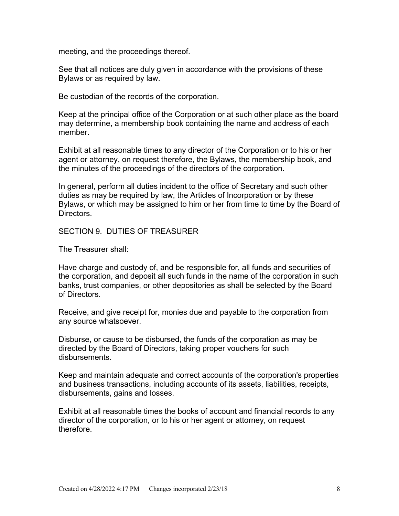meeting, and the proceedings thereof.

See that all notices are duly given in accordance with the provisions of these Bylaws or as required by law.

Be custodian of the records of the corporation.

Keep at the principal office of the Corporation or at such other place as the board may determine, a membership book containing the name and address of each member.

Exhibit at all reasonable times to any director of the Corporation or to his or her agent or attorney, on request therefore, the Bylaws, the membership book, and the minutes of the proceedings of the directors of the corporation.

In general, perform all duties incident to the office of Secretary and such other duties as may be required by law, the Articles of Incorporation or by these Bylaws, or which may be assigned to him or her from time to time by the Board of Directors.

#### SECTION 9. DUTIES OF TREASURER

The Treasurer shall:

Have charge and custody of, and be responsible for, all funds and securities of the corporation, and deposit all such funds in the name of the corporation in such banks, trust companies, or other depositories as shall be selected by the Board of Directors.

Receive, and give receipt for, monies due and payable to the corporation from any source whatsoever.

Disburse, or cause to be disbursed, the funds of the corporation as may be directed by the Board of Directors, taking proper vouchers for such disbursements.

Keep and maintain adequate and correct accounts of the corporation's properties and business transactions, including accounts of its assets, liabilities, receipts, disbursements, gains and losses.

Exhibit at all reasonable times the books of account and financial records to any director of the corporation, or to his or her agent or attorney, on request therefore.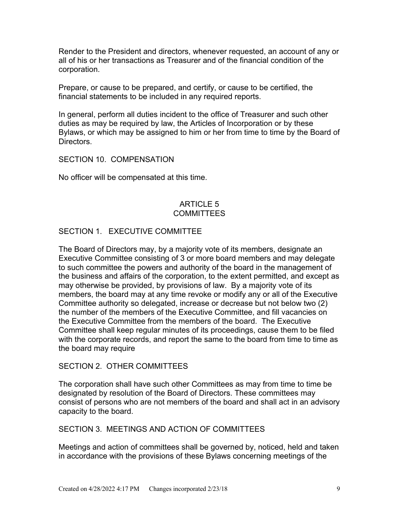Render to the President and directors, whenever requested, an account of any or all of his or her transactions as Treasurer and of the financial condition of the corporation.

Prepare, or cause to be prepared, and certify, or cause to be certified, the financial statements to be included in any required reports.

In general, perform all duties incident to the office of Treasurer and such other duties as may be required by law, the Articles of Incorporation or by these Bylaws, or which may be assigned to him or her from time to time by the Board of **Directors** 

SECTION 10. COMPENSATION

No officer will be compensated at this time.

# ARTICLE 5 **COMMITTEES**

# SECTION 1. EXECUTIVE COMMITTEE

The Board of Directors may, by a majority vote of its members, designate an Executive Committee consisting of 3 or more board members and may delegate to such committee the powers and authority of the board in the management of the business and affairs of the corporation, to the extent permitted, and except as may otherwise be provided, by provisions of law. By a majority vote of its members, the board may at any time revoke or modify any or all of the Executive Committee authority so delegated, increase or decrease but not below two (2) the number of the members of the Executive Committee, and fill vacancies on the Executive Committee from the members of the board. The Executive Committee shall keep regular minutes of its proceedings, cause them to be filed with the corporate records, and report the same to the board from time to time as the board may require

#### SECTION 2. OTHER COMMITTEES

The corporation shall have such other Committees as may from time to time be designated by resolution of the Board of Directors. These committees may consist of persons who are not members of the board and shall act in an advisory capacity to the board.

# SECTION 3. MEETINGS AND ACTION OF COMMITTEES

Meetings and action of committees shall be governed by, noticed, held and taken in accordance with the provisions of these Bylaws concerning meetings of the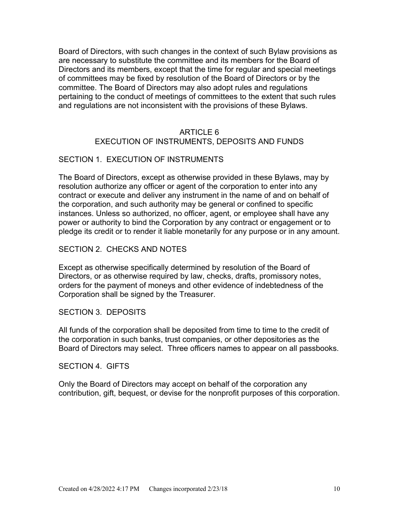Board of Directors, with such changes in the context of such Bylaw provisions as are necessary to substitute the committee and its members for the Board of Directors and its members, except that the time for regular and special meetings of committees may be fixed by resolution of the Board of Directors or by the committee. The Board of Directors may also adopt rules and regulations pertaining to the conduct of meetings of committees to the extent that such rules and regulations are not inconsistent with the provisions of these Bylaws.

# ARTICLE 6 EXECUTION OF INSTRUMENTS, DEPOSITS AND FUNDS

#### SECTION 1. EXECUTION OF INSTRUMENTS

The Board of Directors, except as otherwise provided in these Bylaws, may by resolution authorize any officer or agent of the corporation to enter into any contract or execute and deliver any instrument in the name of and on behalf of the corporation, and such authority may be general or confined to specific instances. Unless so authorized, no officer, agent, or employee shall have any power or authority to bind the Corporation by any contract or engagement or to pledge its credit or to render it liable monetarily for any purpose or in any amount.

#### SECTION 2. CHECKS AND NOTES

Except as otherwise specifically determined by resolution of the Board of Directors, or as otherwise required by law, checks, drafts, promissory notes, orders for the payment of moneys and other evidence of indebtedness of the Corporation shall be signed by the Treasurer.

#### SECTION 3. DEPOSITS

All funds of the corporation shall be deposited from time to time to the credit of the corporation in such banks, trust companies, or other depositories as the Board of Directors may select. Three officers names to appear on all passbooks.

#### SECTION 4. GIFTS

Only the Board of Directors may accept on behalf of the corporation any contribution, gift, bequest, or devise for the nonprofit purposes of this corporation.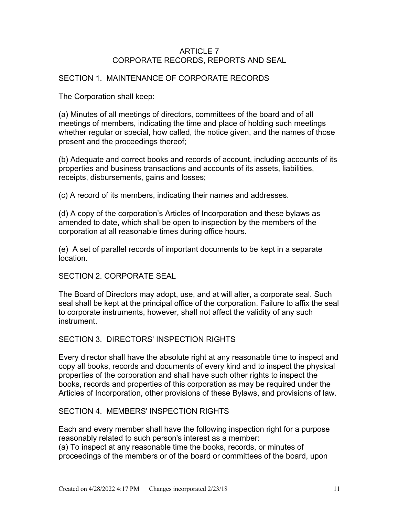# ARTICLE 7 CORPORATE RECORDS, REPORTS AND SEAL

# SECTION 1. MAINTENANCE OF CORPORATE RECORDS

The Corporation shall keep:

(a) Minutes of all meetings of directors, committees of the board and of all meetings of members, indicating the time and place of holding such meetings whether regular or special, how called, the notice given, and the names of those present and the proceedings thereof;

(b) Adequate and correct books and records of account, including accounts of its properties and business transactions and accounts of its assets, liabilities, receipts, disbursements, gains and losses;

(c) A record of its members, indicating their names and addresses.

(d) A copy of the corporation's Articles of Incorporation and these bylaws as amended to date, which shall be open to inspection by the members of the corporation at all reasonable times during office hours.

(e) A set of parallel records of important documents to be kept in a separate location.

SECTION 2. CORPORATE SEAL

The Board of Directors may adopt, use, and at will alter, a corporate seal. Such seal shall be kept at the principal office of the corporation. Failure to affix the seal to corporate instruments, however, shall not affect the validity of any such instrument.

SECTION 3. DIRECTORS' INSPECTION RIGHTS

Every director shall have the absolute right at any reasonable time to inspect and copy all books, records and documents of every kind and to inspect the physical properties of the corporation and shall have such other rights to inspect the books, records and properties of this corporation as may be required under the Articles of Incorporation, other provisions of these Bylaws, and provisions of law.

#### SECTION 4. MEMBERS' INSPECTION RIGHTS

Each and every member shall have the following inspection right for a purpose reasonably related to such person's interest as a member: (a) To inspect at any reasonable time the books, records, or minutes of proceedings of the members or of the board or committees of the board, upon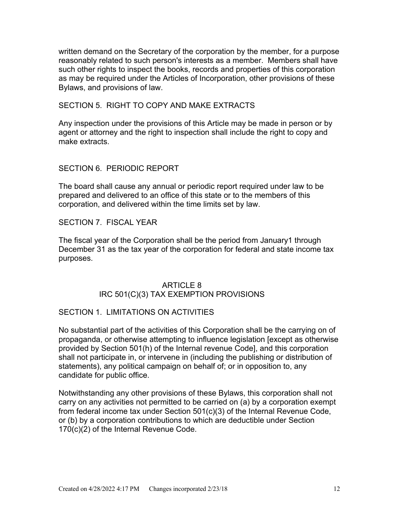written demand on the Secretary of the corporation by the member, for a purpose reasonably related to such person's interests as a member. Members shall have such other rights to inspect the books, records and properties of this corporation as may be required under the Articles of Incorporation, other provisions of these Bylaws, and provisions of law.

SECTION 5. RIGHT TO COPY AND MAKE EXTRACTS

Any inspection under the provisions of this Article may be made in person or by agent or attorney and the right to inspection shall include the right to copy and make extracts.

SECTION 6. PERIODIC REPORT

The board shall cause any annual or periodic report required under law to be prepared and delivered to an office of this state or to the members of this corporation, and delivered within the time limits set by law.

SECTION 7. FISCAL YEAR

The fiscal year of the Corporation shall be the period from January1 through December 31 as the tax year of the corporation for federal and state income tax purposes.

# ARTICLE 8 IRC 501(C)(3) TAX EXEMPTION PROVISIONS

#### SECTION 1. LIMITATIONS ON ACTIVITIES

No substantial part of the activities of this Corporation shall be the carrying on of propaganda, or otherwise attempting to influence legislation [except as otherwise provided by Section 501(h) of the Internal revenue Code], and this corporation shall not participate in, or intervene in (including the publishing or distribution of statements), any political campaign on behalf of; or in opposition to, any candidate for public office.

Notwithstanding any other provisions of these Bylaws, this corporation shall not carry on any activities not permitted to be carried on (a) by a corporation exempt from federal income tax under Section 501(c)(3) of the Internal Revenue Code, or (b) by a corporation contributions to which are deductible under Section 170(c)(2) of the Internal Revenue Code.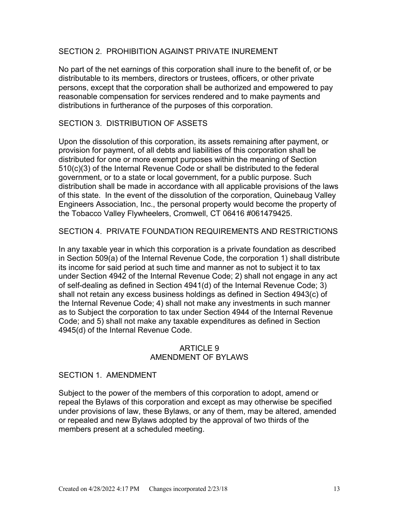### SECTION 2. PROHIBITION AGAINST PRIVATE INUREMENT

No part of the net earnings of this corporation shall inure to the benefit of, or be distributable to its members, directors or trustees, officers, or other private persons, except that the corporation shall be authorized and empowered to pay reasonable compensation for services rendered and to make payments and distributions in furtherance of the purposes of this corporation.

### SECTION 3. DISTRIBUTION OF ASSETS

Upon the dissolution of this corporation, its assets remaining after payment, or provision for payment, of all debts and liabilities of this corporation shall be distributed for one or more exempt purposes within the meaning of Section 510(c)(3) of the Internal Revenue Code or shall be distributed to the federal government, or to a state or local government, for a public purpose. Such distribution shall be made in accordance with all applicable provisions of the laws of this state. In the event of the dissolution of the corporation, Quinebaug Valley Engineers Association, Inc., the personal property would become the property of the Tobacco Valley Flywheelers, Cromwell, CT 06416 #061479425.

SECTION 4. PRIVATE FOUNDATION REQUIREMENTS AND RESTRICTIONS

In any taxable year in which this corporation is a private foundation as described in Section 509(a) of the Internal Revenue Code, the corporation 1) shall distribute its income for said period at such time and manner as not to subject it to tax under Section 4942 of the Internal Revenue Code; 2) shall not engage in any act of self-dealing as defined in Section 4941(d) of the Internal Revenue Code; 3) shall not retain any excess business holdings as defined in Section 4943(c) of the Internal Revenue Code; 4) shall not make any investments in such manner as to Subject the corporation to tax under Section 4944 of the Internal Revenue Code; and 5) shall not make any taxable expenditures as defined in Section 4945(d) of the Internal Revenue Code.

# ARTICLE 9 AMENDMENT OF BYLAWS

#### SECTION 1. AMENDMENT

Subject to the power of the members of this corporation to adopt, amend or repeal the Bylaws of this corporation and except as may otherwise be specified under provisions of law, these Bylaws, or any of them, may be altered, amended or repealed and new Bylaws adopted by the approval of two thirds of the members present at a scheduled meeting.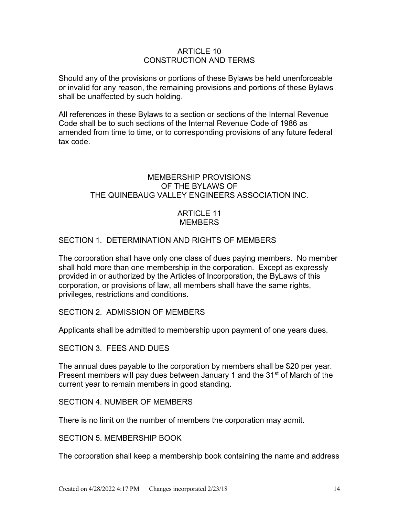#### ARTICLE 10 CONSTRUCTION AND TERMS

Should any of the provisions or portions of these Bylaws be held unenforceable or invalid for any reason, the remaining provisions and portions of these Bylaws shall be unaffected by such holding.

All references in these Bylaws to a section or sections of the Internal Revenue Code shall be to such sections of the Internal Revenue Code of 1986 as amended from time to time, or to corresponding provisions of any future federal tax code.

## MEMBERSHIP PROVISIONS OF THE BYLAWS OF THE QUINEBAUG VALLEY ENGINEERS ASSOCIATION INC.

#### ARTICLE 11 **MEMBERS**

# SECTION 1. DETERMINATION AND RIGHTS OF MEMBERS

The corporation shall have only one class of dues paying members. No member shall hold more than one membership in the corporation. Except as expressly provided in or authorized by the Articles of Incorporation, the ByLaws of this corporation, or provisions of law, all members shall have the same rights, privileges, restrictions and conditions.

# SECTION 2. ADMISSION OF MEMBERS

Applicants shall be admitted to membership upon payment of one years dues.

SECTION 3. FEES AND DUES

The annual dues payable to the corporation by members shall be \$20 per year. Present members will pay dues between January 1 and the 31<sup>st</sup> of March of the current year to remain members in good standing.

### SECTION 4. NUMBER OF MEMBERS

There is no limit on the number of members the corporation may admit.

SECTION 5. MEMBERSHIP BOOK

The corporation shall keep a membership book containing the name and address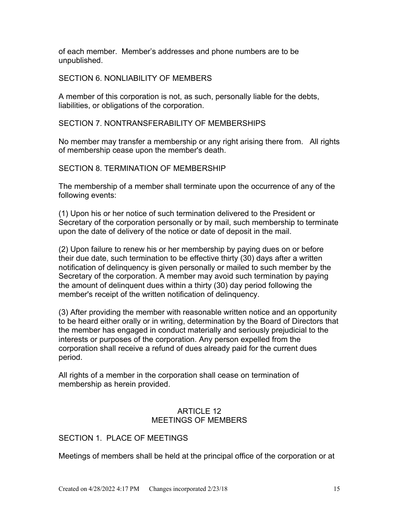of each member. Member's addresses and phone numbers are to be unpublished.

#### SECTION 6. NONLIABILITY OF MEMBERS

A member of this corporation is not, as such, personally liable for the debts, liabilities, or obligations of the corporation.

#### SECTION 7. NONTRANSFERABILITY OF MEMBERSHIPS

No member may transfer a membership or any right arising there from. All rights of membership cease upon the member's death.

#### SECTION 8. TERMINATION OF MEMBERSHIP

The membership of a member shall terminate upon the occurrence of any of the following events:

(1) Upon his or her notice of such termination delivered to the President or Secretary of the corporation personally or by mail, such membership to terminate upon the date of delivery of the notice or date of deposit in the mail.

(2) Upon failure to renew his or her membership by paying dues on or before their due date, such termination to be effective thirty (30) days after a written notification of delinquency is given personally or mailed to such member by the Secretary of the corporation. A member may avoid such termination by paying the amount of delinquent dues within a thirty (30) day period following the member's receipt of the written notification of delinquency.

(3) After providing the member with reasonable written notice and an opportunity to be heard either orally or in writing, determination by the Board of Directors that the member has engaged in conduct materially and seriously prejudicial to the interests or purposes of the corporation. Any person expelled from the corporation shall receive a refund of dues already paid for the current dues period.

All rights of a member in the corporation shall cease on termination of membership as herein provided.

#### ARTICLE 12 MEETINGS OF MEMBERS

# SECTION 1. PLACE OF MEETINGS

Meetings of members shall be held at the principal office of the corporation or at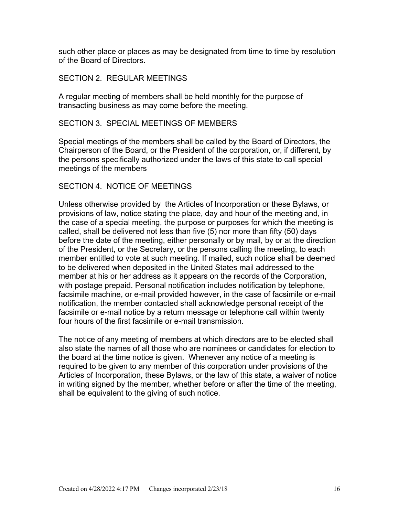such other place or places as may be designated from time to time by resolution of the Board of Directors.

#### SECTION 2. REGULAR MEETINGS

A regular meeting of members shall be held monthly for the purpose of transacting business as may come before the meeting.

# SECTION 3. SPECIAL MEETINGS OF MEMBERS

Special meetings of the members shall be called by the Board of Directors, the Chairperson of the Board, or the President of the corporation, or, if different, by the persons specifically authorized under the laws of this state to call special meetings of the members

#### SECTION 4. NOTICE OF MEETINGS

Unless otherwise provided by the Articles of Incorporation or these Bylaws, or provisions of law, notice stating the place, day and hour of the meeting and, in the case of a special meeting, the purpose or purposes for which the meeting is called, shall be delivered not less than five (5) nor more than fifty (50) days before the date of the meeting, either personally or by mail, by or at the direction of the President, or the Secretary, or the persons calling the meeting, to each member entitled to vote at such meeting. If mailed, such notice shall be deemed to be delivered when deposited in the United States mail addressed to the member at his or her address as it appears on the records of the Corporation, with postage prepaid. Personal notification includes notification by telephone, facsimile machine, or e-mail provided however, in the case of facsimile or e-mail notification, the member contacted shall acknowledge personal receipt of the facsimile or e-mail notice by a return message or telephone call within twenty four hours of the first facsimile or e-mail transmission.

The notice of any meeting of members at which directors are to be elected shall also state the names of all those who are nominees or candidates for election to the board at the time notice is given. Whenever any notice of a meeting is required to be given to any member of this corporation under provisions of the Articles of Incorporation, these Bylaws, or the law of this state, a waiver of notice in writing signed by the member, whether before or after the time of the meeting, shall be equivalent to the giving of such notice.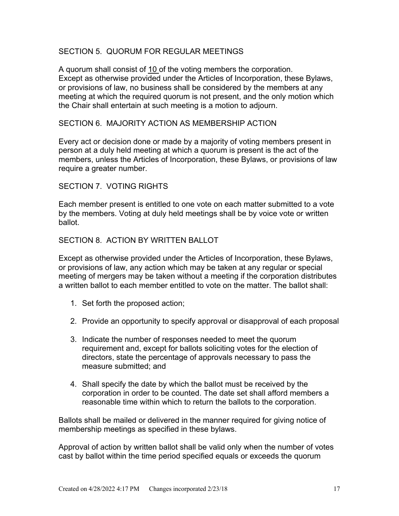# SECTION 5. QUORUM FOR REGULAR MEETINGS

A quorum shall consist of 10 of the voting members the corporation. Except as otherwise provided under the Articles of Incorporation, these Bylaws, or provisions of law, no business shall be considered by the members at any meeting at which the required quorum is not present, and the only motion which the Chair shall entertain at such meeting is a motion to adjourn.

#### SECTION 6. MAJORITY ACTION AS MEMBERSHIP ACTION

Every act or decision done or made by a majority of voting members present in person at a duly held meeting at which a quorum is present is the act of the members, unless the Articles of Incorporation, these Bylaws, or provisions of law require a greater number.

#### SECTION 7. VOTING RIGHTS

Each member present is entitled to one vote on each matter submitted to a vote by the members. Voting at duly held meetings shall be by voice vote or written ballot.

#### SECTION 8. ACTION BY WRITTEN BALLOT

Except as otherwise provided under the Articles of Incorporation, these Bylaws, or provisions of law, any action which may be taken at any regular or special meeting of mergers may be taken without a meeting if the corporation distributes a written ballot to each member entitled to vote on the matter. The ballot shall:

- 1. Set forth the proposed action;
- 2. Provide an opportunity to specify approval or disapproval of each proposal
- 3. Indicate the number of responses needed to meet the quorum requirement and, except for ballots soliciting votes for the election of directors, state the percentage of approvals necessary to pass the measure submitted; and
- 4. Shall specify the date by which the ballot must be received by the corporation in order to be counted. The date set shall afford members a reasonable time within which to return the ballots to the corporation.

Ballots shall be mailed or delivered in the manner required for giving notice of membership meetings as specified in these bylaws.

Approval of action by written ballot shall be valid only when the number of votes cast by ballot within the time period specified equals or exceeds the quorum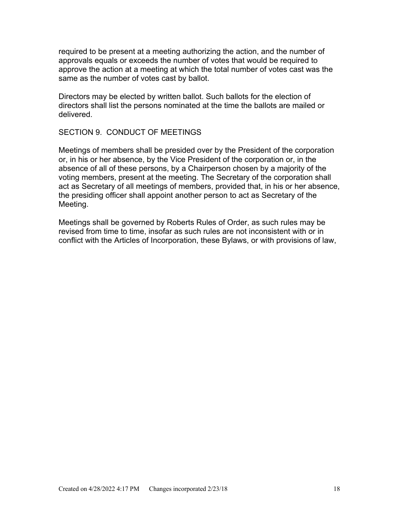required to be present at a meeting authorizing the action, and the number of approvals equals or exceeds the number of votes that would be required to approve the action at a meeting at which the total number of votes cast was the same as the number of votes cast by ballot.

Directors may be elected by written ballot. Such ballots for the election of directors shall list the persons nominated at the time the ballots are mailed or delivered.

#### SECTION 9. CONDUCT OF MEETINGS

Meetings of members shall be presided over by the President of the corporation or, in his or her absence, by the Vice President of the corporation or, in the absence of all of these persons, by a Chairperson chosen by a majority of the voting members, present at the meeting. The Secretary of the corporation shall act as Secretary of all meetings of members, provided that, in his or her absence, the presiding officer shall appoint another person to act as Secretary of the Meeting.

Meetings shall be governed by Roberts Rules of Order, as such rules may be revised from time to time, insofar as such rules are not inconsistent with or in conflict with the Articles of Incorporation, these Bylaws, or with provisions of law,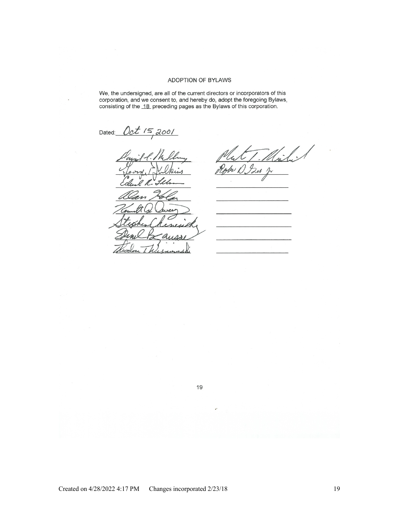#### **ADOPTION OF BYLAWS**

We, the undersigned, are all of the current directors or incorporators of this corporation, and we consent to, and hereby do, adopt the foregoing Bylaws, consisting of the 18 preceding pages as the Bylaws of this corporati

Dated: Oct 15, 2001

' A  $\Lambda$ 

 $\varphi$ Zır

19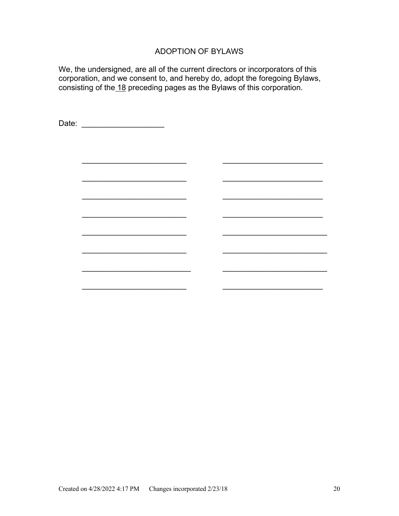# ADOPTION OF BYLAWS

We, the undersigned, are all of the current directors or incorporators of this corporation, and we consent to, and hereby do, adopt the foregoing Bylaws, consisting of the 18 preceding pages as the Bylaws of this corporation.

Date: \_\_\_\_\_\_\_\_\_\_\_\_\_\_\_\_\_\_\_  $\overline{\phantom{a}}$  , where  $\overline{\phantom{a}}$  , where  $\overline{\phantom{a}}$  , where  $\overline{\phantom{a}}$  , where  $\overline{\phantom{a}}$  , where  $\overline{\phantom{a}}$  $\overline{\phantom{a}}$  ,  $\overline{\phantom{a}}$  ,  $\overline{\phantom{a}}$  ,  $\overline{\phantom{a}}$  ,  $\overline{\phantom{a}}$  ,  $\overline{\phantom{a}}$  ,  $\overline{\phantom{a}}$  ,  $\overline{\phantom{a}}$  ,  $\overline{\phantom{a}}$  ,  $\overline{\phantom{a}}$  ,  $\overline{\phantom{a}}$  ,  $\overline{\phantom{a}}$  ,  $\overline{\phantom{a}}$  ,  $\overline{\phantom{a}}$  ,  $\overline{\phantom{a}}$  ,  $\overline{\phantom{a}}$  $\overline{\phantom{a}}$  , and the contract of the contract of the contract of the contract of the contract of the contract of the contract of the contract of the contract of the contract of the contract of the contract of the contrac  $\overline{\phantom{a}}$  ,  $\overline{\phantom{a}}$  ,  $\overline{\phantom{a}}$  ,  $\overline{\phantom{a}}$  ,  $\overline{\phantom{a}}$  ,  $\overline{\phantom{a}}$  ,  $\overline{\phantom{a}}$  ,  $\overline{\phantom{a}}$  ,  $\overline{\phantom{a}}$  ,  $\overline{\phantom{a}}$  ,  $\overline{\phantom{a}}$  ,  $\overline{\phantom{a}}$  ,  $\overline{\phantom{a}}$  ,  $\overline{\phantom{a}}$  ,  $\overline{\phantom{a}}$  ,  $\overline{\phantom{a}}$ \_\_\_\_\_\_\_\_\_\_\_\_\_\_\_\_\_\_\_\_\_\_\_\_ \_\_\_\_\_\_\_\_\_\_\_\_\_\_\_\_\_\_\_\_\_\_\_\_  $\overline{\phantom{a}}$  ,  $\overline{\phantom{a}}$  ,  $\overline{\phantom{a}}$  ,  $\overline{\phantom{a}}$  ,  $\overline{\phantom{a}}$  ,  $\overline{\phantom{a}}$  ,  $\overline{\phantom{a}}$  ,  $\overline{\phantom{a}}$  ,  $\overline{\phantom{a}}$  ,  $\overline{\phantom{a}}$  ,  $\overline{\phantom{a}}$  ,  $\overline{\phantom{a}}$  ,  $\overline{\phantom{a}}$  ,  $\overline{\phantom{a}}$  ,  $\overline{\phantom{a}}$  ,  $\overline{\phantom{a}}$ \_\_\_\_\_\_\_\_\_\_\_\_\_\_\_\_\_\_\_\_\_\_\_\_\_ \_\_\_\_\_\_\_\_\_\_\_\_\_\_\_\_\_\_\_\_\_\_\_\_  $\overline{\phantom{a}}$  , and the contract of the contract of the contract of the contract of the contract of the contract of the contract of the contract of the contract of the contract of the contract of the contract of the contrac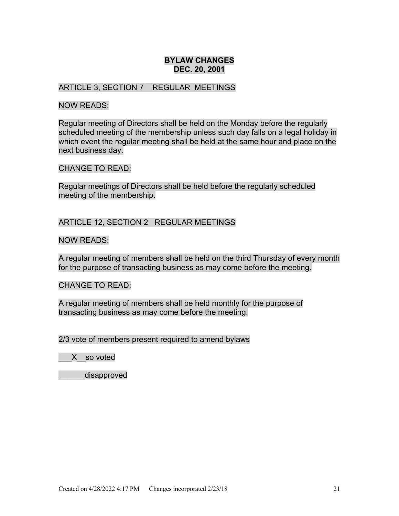# **BYLAW CHANGES DEC. 20, 2001**

#### ARTICLE 3, SECTION 7 REGULAR MEETINGS

#### NOW READS:

Regular meeting of Directors shall be held on the Monday before the regularly scheduled meeting of the membership unless such day falls on a legal holiday in which event the regular meeting shall be held at the same hour and place on the next business day.

#### CHANGE TO READ:

Regular meetings of Directors shall be held before the regularly scheduled meeting of the membership.

# ARTICLE 12, SECTION 2 REGULAR MEETINGS

#### NOW READS:

A regular meeting of members shall be held on the third Thursday of every month for the purpose of transacting business as may come before the meeting.

#### CHANGE TO READ:

A regular meeting of members shall be held monthly for the purpose of transacting business as may come before the meeting.

2/3 vote of members present required to amend bylaws

\_\_\_X\_\_so voted

\_\_\_\_\_\_disapproved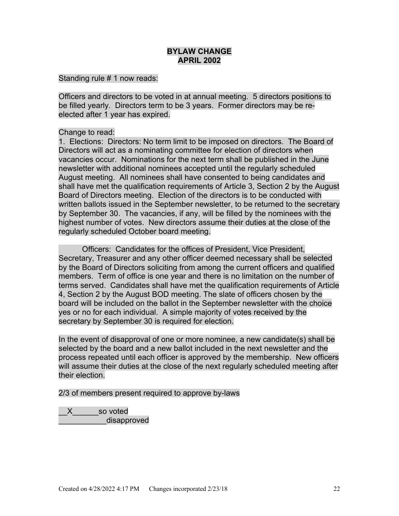# **BYLAW CHANGE APRIL 2002**

#### Standing rule # 1 now reads:

Officers and directors to be voted in at annual meeting. 5 directors positions to be filled yearly. Directors term to be 3 years. Former directors may be reelected after 1 year has expired.

#### Change to read:

1. Elections: Directors: No term limit to be imposed on directors. The Board of Directors will act as a nominating committee for election of directors when vacancies occur. Nominations for the next term shall be published in the June newsletter with additional nominees accepted until the regularly scheduled August meeting. All nominees shall have consented to being candidates and shall have met the qualification requirements of Article 3, Section 2 by the August Board of Directors meeting. Election of the directors is to be conducted with written ballots issued in the September newsletter, to be returned to the secretary by September 30. The vacancies, if any, will be filled by the nominees with the highest number of votes. New directors assume their duties at the close of the regularly scheduled October board meeting.

Officers: Candidates for the offices of President, Vice President, Secretary, Treasurer and any other officer deemed necessary shall be selected by the Board of Directors soliciting from among the current officers and qualified members. Term of office is one year and there is no limitation on the number of terms served. Candidates shall have met the qualification requirements of Article 4, Section 2 by the August BOD meeting. The slate of officers chosen by the board will be included on the ballot in the September newsletter with the choice yes or no for each individual. A simple majority of votes received by the secretary by September 30 is required for election.

In the event of disapproval of one or more nominee, a new candidate(s) shall be selected by the board and a new ballot included in the next newsletter and the process repeated until each officer is approved by the membership. New officers will assume their duties at the close of the next regularly scheduled meeting after their election.

#### 2/3 of members present required to approve by-laws

\_\_X\_\_\_\_\_\_so voted disapproved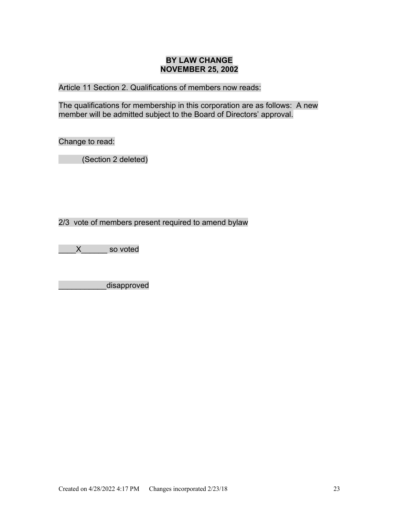# **BY LAW CHANGE NOVEMBER 25, 2002**

Article 11 Section 2. Qualifications of members now reads:

The qualifications for membership in this corporation are as follows: A new member will be admitted subject to the Board of Directors' approval.

Change to read:

(Section 2 deleted)

2/3 vote of members present required to amend bylaw

\_\_\_\_X\_\_\_\_\_\_ so voted

\_\_\_\_\_\_\_\_\_\_\_disapproved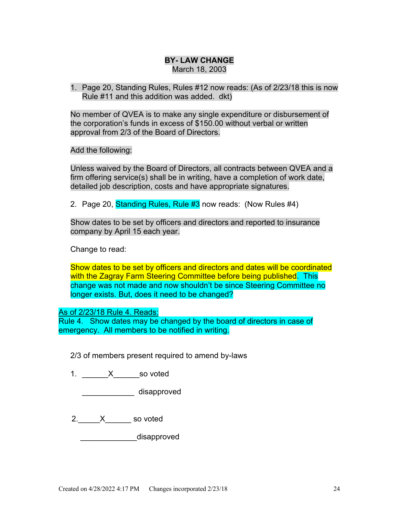# **BY- LAW CHANGE**

March 18, 2003

1. Page 20, Standing Rules, Rules #12 now reads: (As of 2/23/18 this is now Rule #11 and this addition was added. dkt)

No member of QVEA is to make any single expenditure or disbursement of the corporation's funds in excess of \$150.00 without verbal or written approval from 2/3 of the Board of Directors.

Add the following:

Unless waived by the Board of Directors, all contracts between QVEA and a firm offering service(s) shall be in writing, have a completion of work date, detailed job description, costs and have appropriate signatures.

2. Page 20, Standing Rules, Rule #3 now reads: (Now Rules #4)

Show dates to be set by officers and directors and reported to insurance company by April 15 each year.

Change to read:

Show dates to be set by officers and directors and dates will be coordinated with the Zagray Farm Steering Committee before being published. This change was not made and now shouldn't be since Steering Committee no longer exists. But, does it need to be changed?

#### As of 2/23/18 Rule 4. Reads:

Rule 4. Show dates may be changed by the board of directors in case of emergency. All members to be notified in writing.

2/3 of members present required to amend by-laws

1. X so voted

\_\_\_\_\_\_\_\_\_\_\_\_ disapproved

2. X so voted

disapproved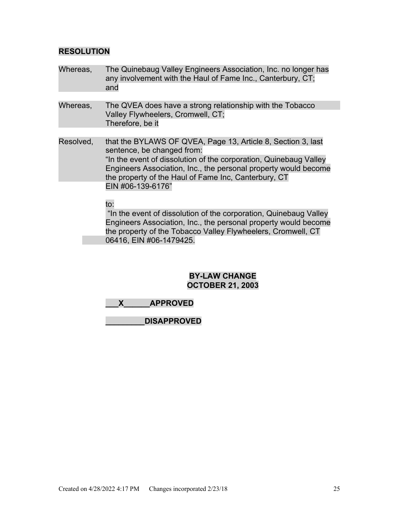# **RESOLUTION**

- Whereas, The Quinebaug Valley Engineers Association, Inc. no longer has any involvement with the Haul of Fame Inc., Canterbury, CT; and
- Whereas, The QVEA does have a strong relationship with the Tobacco Valley Flywheelers, Cromwell, CT; Therefore, be it
- Resolved, that the BYLAWS OF QVEA, Page 13, Article 8, Section 3, last sentence, be changed from: "In the event of dissolution of the corporation, Quinebaug Valley Engineers Association, Inc., the personal property would become the property of the Haul of Fame Inc, Canterbury, CT EIN #06-139-6176"

#### to:

"In the event of dissolution of the corporation, Quinebaug Valley Engineers Association, Inc., the personal property would become the property of the Tobacco Valley Flywheelers, Cromwell, CT 06416, EIN #06-1479425.

## **BY-LAW CHANGE OCTOBER 21, 2003**

| <b>APPROVED</b> |
|-----------------|
|                 |

**\_\_\_\_\_\_\_\_\_DISAPPROVED**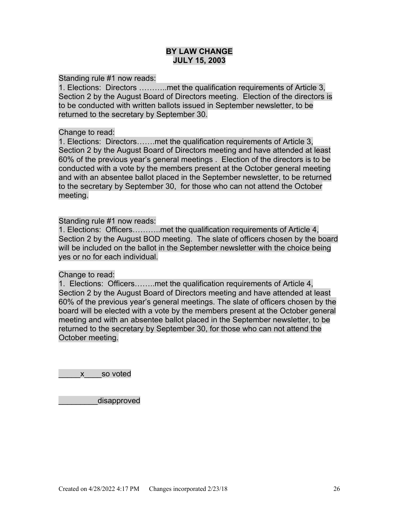### **BY LAW CHANGE JULY 15, 2003**

Standing rule #1 now reads:

1. Elections: Directors ………..met the qualification requirements of Article 3, Section 2 by the August Board of Directors meeting. Election of the directors is to be conducted with written ballots issued in September newsletter, to be returned to the secretary by September 30.

#### Change to read:

1. Elections: Directors…….met the qualification requirements of Article 3, Section 2 by the August Board of Directors meeting and have attended at least 60% of the previous year's general meetings . Election of the directors is to be conducted with a vote by the members present at the October general meeting and with an absentee ballot placed in the September newsletter, to be returned to the secretary by September 30, for those who can not attend the October meeting.

#### Standing rule #1 now reads:

1. Elections: Officers………..met the qualification requirements of Article 4, Section 2 by the August BOD meeting. The slate of officers chosen by the board will be included on the ballot in the September newsletter with the choice being yes or no for each individual.

#### Change to read:

1. Elections: Officers……..met the qualification requirements of Article 4, Section 2 by the August Board of Directors meeting and have attended at least 60% of the previous year's general meetings. The slate of officers chosen by the board will be elected with a vote by the members present at the October general meeting and with an absentee ballot placed in the September newsletter, to be returned to the secretary by September 30, for those who can not attend the October meeting.

\_\_\_\_\_x\_\_\_\_so voted

disapproved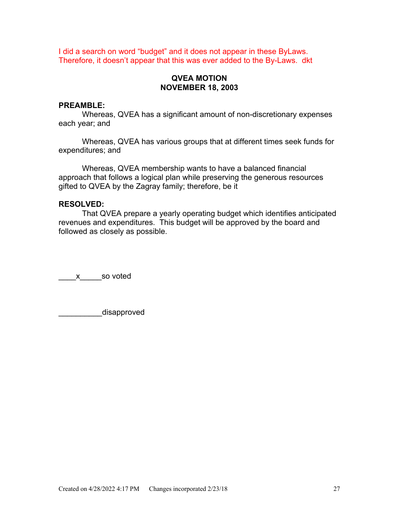I did a search on word "budget" and it does not appear in these ByLaws. Therefore, it doesn't appear that this was ever added to the By-Laws. dkt

# **QVEA MOTION NOVEMBER 18, 2003**

#### **PREAMBLE:**

Whereas, QVEA has a significant amount of non-discretionary expenses each year; and

Whereas, QVEA has various groups that at different times seek funds for expenditures; and

Whereas, QVEA membership wants to have a balanced financial approach that follows a logical plan while preserving the generous resources gifted to QVEA by the Zagray family; therefore, be it

#### **RESOLVED:**

That QVEA prepare a yearly operating budget which identifies anticipated revenues and expenditures. This budget will be approved by the board and followed as closely as possible.

\_\_\_\_x\_\_\_\_\_so voted

disapproved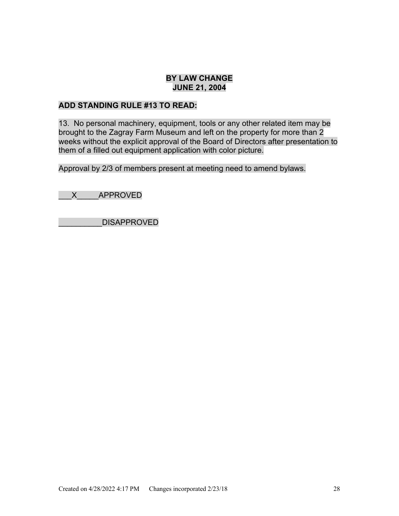# **BY LAW CHANGE JUNE 21, 2004**

# **ADD STANDING RULE #13 TO READ:**

13. No personal machinery, equipment, tools or any other related item may be brought to the Zagray Farm Museum and left on the property for more than 2 weeks without the explicit approval of the Board of Directors after presentation to them of a filled out equipment application with color picture.

Approval by 2/3 of members present at meeting need to amend bylaws.

\_\_\_X\_\_\_\_\_APPROVED

\_\_\_\_\_\_\_\_\_\_DISAPPROVED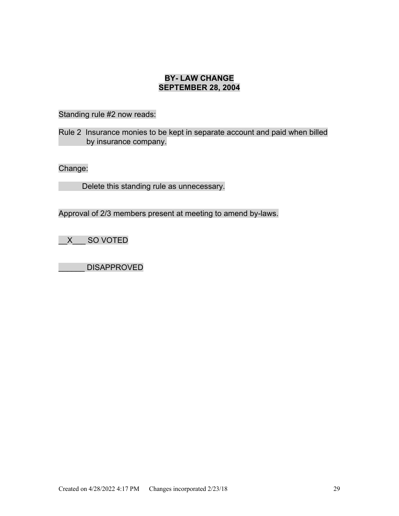# **BY- LAW CHANGE SEPTEMBER 28, 2004**

Standing rule #2 now reads:

Rule 2 Insurance monies to be kept in separate account and paid when billed by insurance company.

Change:

Delete this standing rule as unnecessary.

Approval of 2/3 members present at meeting to amend by-laws.

\_\_X\_\_\_ SO VOTED

\_\_\_\_\_\_ DISAPPROVED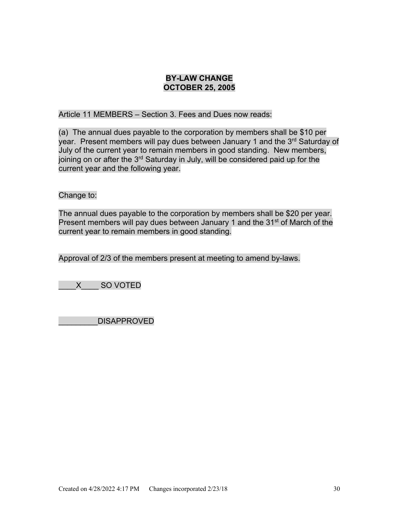# **BY-LAW CHANGE OCTOBER 25, 2005**

Article 11 MEMBERS – Section 3. Fees and Dues now reads:

(a) The annual dues payable to the corporation by members shall be \$10 per year. Present members will pay dues between January 1 and the 3rd Saturday of July of the current year to remain members in good standing. New members, joining on or after the 3<sup>rd</sup> Saturday in July, will be considered paid up for the current year and the following year.

#### Change to:

The annual dues payable to the corporation by members shall be \$20 per year. Present members will pay dues between January 1 and the 31<sup>st</sup> of March of the current year to remain members in good standing.

Approval of 2/3 of the members present at meeting to amend by-laws.

\_\_\_\_X\_\_\_\_ SO VOTED

\_\_\_\_\_\_\_\_\_DISAPPROVED